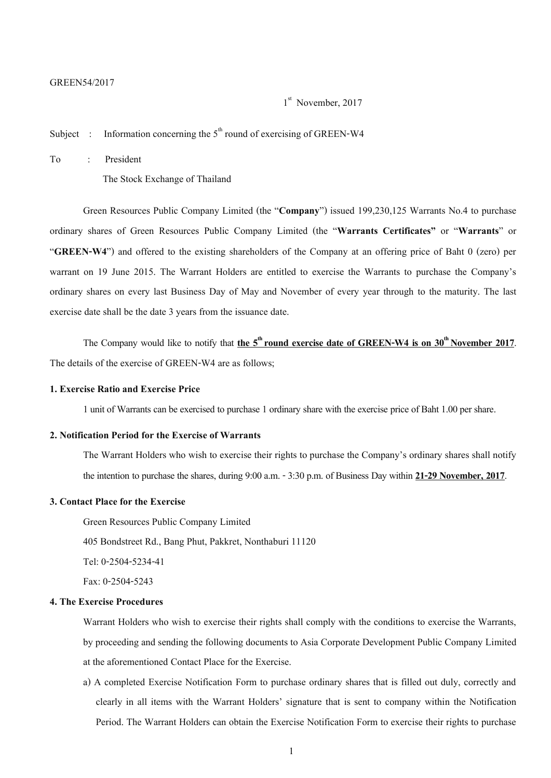#### GREEN54/2017

1<sup>st</sup> November, 2017

Subject : Information concerning the  $5<sup>th</sup>$  round of exercising of GREEN-W4

To : President

The Stock Exchange of Thailand

Green Resources Public Company Limited (the "**Company**") issued 199,230,125 Warrants No.4 to purchase ordinary shares of Green Resources Public Company Limited (the "**Warrants Certificates"** or "**Warrants**" or "**GREEN-W4**") and offered to the existing shareholders of the Company at an offering price of Baht 0 (zero) per warrant on 19 June 2015. The Warrant Holders are entitled to exercise the Warrants to purchase the Company's ordinary shares on every last Business Day of May and November of every year through to the maturity. The last exercise date shall be the date 3 years from the issuance date.

The Company would like to notify that **the 5<sup>th</sup> round exercise date of GREEN-W4 is on 30<sup>th</sup> November 2017.** The details of the exercise of GREEN-W4 are as follows;

#### **1. Exercise Ratio and Exercise Price**

1 unit of Warrants can be exercised to purchase 1 ordinary share with the exercise price of Baht 1.00 per share.

### **2. Notification Period for the Exercise of Warrants**

The Warrant Holders who wish to exercise their rights to purchase the Company's ordinary shares shall notify the intention to purchase the shares, during 9:00 a.m. -3:30 p.m. of Business Day within **21-29 November, 2017**.

## **3. Contact Place for the Exercise**

Green Resources Public Company Limited 405 Bondstreet Rd., Bang Phut, Pakkret, Nonthaburi 11120 Tel: 0-2504-5234-41 Fax: 0-2504-5243

# **4. The Exercise Procedures**

Warrant Holders who wish to exercise their rights shall comply with the conditions to exercise the Warrants, by proceeding and sending the following documents to Asia Corporate Development Public Company Limited at the aforementioned Contact Place for the Exercise.

a) A completed Exercise Notification Form to purchase ordinary shares that is filled out duly, correctly and clearly in all items with the Warrant Holders' signature that is sent to company within the Notification Period. The Warrant Holders can obtain the Exercise Notification Form to exercise their rights to purchase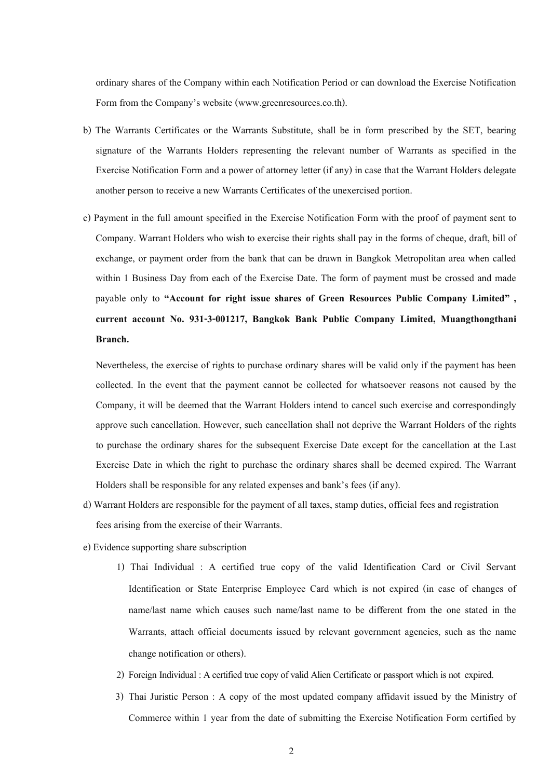ordinary shares of the Company within each Notification Period or can download the Exercise Notification Form from the Company's website (www.greenresources.co.th).

- b) The Warrants Certificates or the Warrants Substitute, shall be in form prescribed by the SET, bearing signature of the Warrants Holders representing the relevant number of Warrants as specified in the Exercise Notification Form and a power of attorney letter (if any) in case that the Warrant Holders delegate another person to receive a new Warrants Certificates of the unexercised portion.
- c) Payment in the full amount specified in the Exercise Notification Form with the proof of payment sent to Company. Warrant Holders who wish to exercise their rights shall pay in the forms of cheque, draft, bill of exchange, or payment order from the bank that can be drawn in Bangkok Metropolitan area when called within 1 Business Day from each of the Exercise Date. The form of payment must be crossed and made payable only to **"Account for right issue shares of Green Resources Public Company Limited" , current account No. 931-3-001217, Bangkok Bank Public Company Limited, Muangthongthani Branch.**

Nevertheless, the exercise of rights to purchase ordinary shares will be valid only if the payment has been collected. In the event that the payment cannot be collected for whatsoever reasons not caused by the Company, it will be deemed that the Warrant Holders intend to cancel such exercise and correspondingly approve such cancellation. However, such cancellation shall not deprive the Warrant Holders of the rights to purchase the ordinary shares for the subsequent Exercise Date except for the cancellation at the Last Exercise Date in which the right to purchase the ordinary shares shall be deemed expired. The Warrant Holders shall be responsible for any related expenses and bank's fees (if any).

- d) Warrant Holders are responsible for the payment of all taxes, stamp duties, official fees and registration fees arising from the exercise of their Warrants.
- e) Evidence supporting share subscription
	- 1) Thai Individual : A certified true copy of the valid Identification Card or Civil Servant Identification or State Enterprise Employee Card which is not expired (in case of changes of name/last name which causes such name/last name to be different from the one stated in the Warrants, attach official documents issued by relevant government agencies, such as the name change notification or others).
	- 2) Foreign Individual : A certified true copy of valid Alien Certificate or passport which is not expired.
	- 3) Thai Juristic Person : A copy of the most updated company affidavit issued by the Ministry of Commerce within 1 year from the date of submitting the Exercise Notification Form certified by